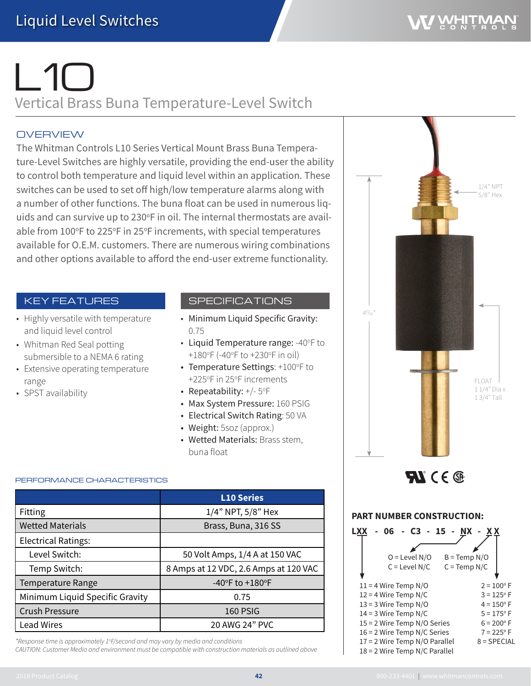# $\sqrt{10}$ Vertical Brass Buna Temperature-Level Switch

## **OVERVIEW**

The Whitman Controls L10 Series Vertical Mount Brass Buna Temperature-Level Switches are highly versatile, providing the end-user the ability to control both temperature and liquid level within an application. These switches can be used to set off high/low temperature alarms along with a number of other functions. The buna float can be used in numerous liquids and can survive up to 230°F in oil. The internal thermostats are available from 100°F to 225°F in 25°F increments, with special temperatures available for O.E.M. customers. There are numerous wiring combinations and other options available to afford the end-user extreme functionality.

## KEY FEATURES

- Highly versatile with temperature and liquid level control
- Whitman Red Seal potting submersible to a NEMA 6 rating
- Extensive operating temperature range
- SPST availability

## SPECIFICATIONS

- Minimum Liquid Specific Gravity: 0.75
- Liquid Temperature range: -40°F to +180°F (-40°F to +230°F in oil)
- Temperature Settings: +100°F to +225°F in 25°F increments
- Repeatability:  $+/$  5°F
- Max System Pressure: 160 PSIG
- Electrical Switch Rating: 50 VA
- Weight: 5soz (approx.)
- Wetted Materials: Brass stem. buna float

#### PERFORMANCE CHARACTERISTICS

|                                 | <b>L10 Series</b>                     |  |  |
|---------------------------------|---------------------------------------|--|--|
| Fitting                         | 1/4" NPT, 5/8" Hex                    |  |  |
| <b>Wetted Materials</b>         | Brass, Buna, 316 SS                   |  |  |
| <b>Electrical Ratings:</b>      |                                       |  |  |
| Level Switch:                   | 50 Volt Amps, 1/4 A at 150 VAC        |  |  |
| Temp Switch:                    | 8 Amps at 12 VDC, 2.6 Amps at 120 VAC |  |  |
| <b>Temperature Range</b>        | -40°F to $+180$ °F                    |  |  |
| Minimum Liquid Specific Gravity | 0.75                                  |  |  |
| <b>Crush Pressure</b>           | 160 PSIG                              |  |  |
| <b>Lead Wires</b>               | 20 AWG 24" PVC                        |  |  |

*\*Response time is approximately 1o F/second and may vary by media and conditions*

*CAUTION: Customer Media and environment must be compatible with construction materials as outlined above*



 $\boldsymbol{\mathcal{H}}$  (  $\in$   $\circledast$ 

#### **PART NUMBER CONSTRUCTION:**

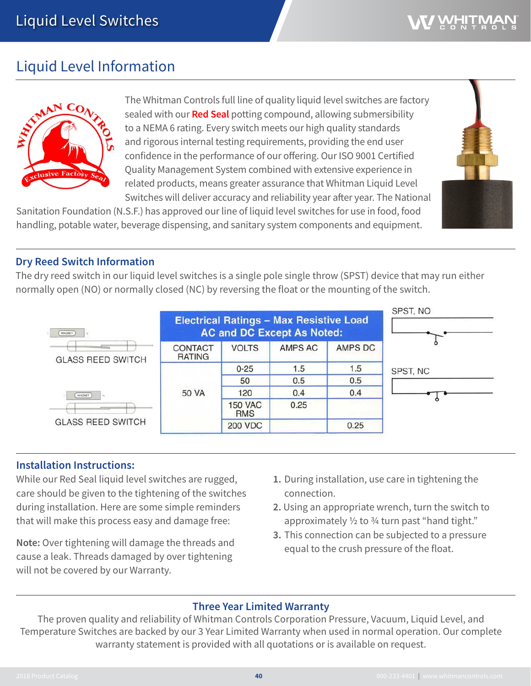## WHITM

## Liquid Level Information



The Whitman Controls full line of quality liquid level switches are factory sealed with our **Red Seal** potting compound, allowing submersibility to a NEMA 6 rating. Every switch meets our high quality standards and rigorous internal testing requirements, providing the end user confidence in the performance of our offering. Our ISO 9001 Certified Quality Management System combined with extensive experience in related products, means greater assurance that Whitman Liquid Level Switches will deliver accuracy and reliability year after year. The National

Sanitation Foundation (N.S.F.) has approved our line of liquid level switches for use in food, food handling, potable water, beverage dispensing, and sanitary system components and equipment.



The dry reed switch in our liquid level switches is a single pole single throw (SPST) device that may run either normally open (NO) or normally closed (NC) by reversing the float or the mounting of the switch.



## **Installation Instructions:**

While our Red Seal liquid level switches are rugged, care should be given to the tightening of the switches during installation. Here are some simple reminders that will make this process easy and damage free:

**Note:** Over tightening will damage the threads and cause a leak. Threads damaged by over tightening will not be covered by our Warranty.

- **1.** During installation, use care in tightening the connection.
- **2.** Using an appropriate wrench, turn the switch to approximately  $\frac{1}{2}$  to  $\frac{3}{4}$  turn past "hand tight."
- **3.** This connection can be subjected to a pressure equal to the crush pressure of the float.

## **Three Year Limited Warranty**

The proven quality and reliability of Whitman Controls Corporation Pressure, Vacuum, Liquid Level, and Temperature Switches are backed by our 3 Year Limited Warranty when used in normal operation. Our complete warranty statement is provided with all quotations or is available on request.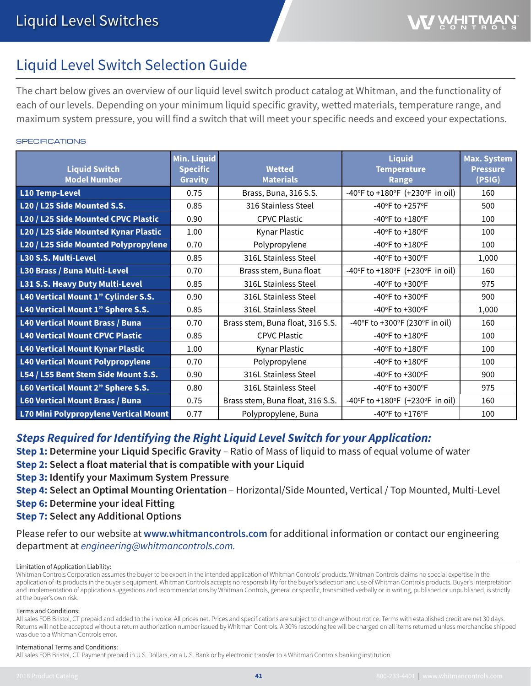## Liquid Level Switch Selection Guide

The chart below gives an overview of our liquid level switch product catalog at Whitman, and the functionality of each of our levels. Depending on your minimum liquid specific gravity, wetted materials, temperature range, and maximum system pressure, you will find a switch that will meet your specific needs and exceed your expectations.

#### **SPECIFICATIONS**

| <b>Liquid Switch</b><br><b>Model Number</b> | <b>Min. Liquid</b><br><b>Specific</b><br><b>Gravity</b> | <b>Wetted</b><br><b>Materials</b> | <b>Liquid</b><br><b>Temperature</b><br><b>Range</b> | <b>Max. System</b><br><b>Pressure</b><br>(PSIG) |
|---------------------------------------------|---------------------------------------------------------|-----------------------------------|-----------------------------------------------------|-------------------------------------------------|
| <b>L10 Temp-Level</b>                       | 0.75                                                    | Brass, Buna, 316 S.S.             | -40°F to +180°F (+230°F in oil)                     | 160                                             |
| L20 / L25 Side Mounted S.S.                 | 0.85                                                    | 316 Stainless Steel               | $-40$ °F to $+257$ °F                               | 500                                             |
| L20 / L25 Side Mounted CPVC Plastic         | 0.90                                                    | <b>CPVC Plastic</b>               | -40°F to +180°F                                     | 100                                             |
| L20 / L25 Side Mounted Kynar Plastic        | 1.00                                                    | Kynar Plastic                     | $-40$ °F to $+180$ °F                               | 100                                             |
| L20 / L25 Side Mounted Polypropylene        | 0.70                                                    | Polypropylene                     | -40°F to +180°F                                     | 100                                             |
| L30 S.S. Multi-Level                        | 0.85                                                    | 316L Stainless Steel              | -40°F to +300°F                                     | 1,000                                           |
| L30 Brass / Buna Multi-Level                | 0.70                                                    | Brass stem, Buna float            | -40°F to +180°F (+230°F in oil)                     | 160                                             |
| <b>L31 S.S. Heavy Duty Multi-Level</b>      | 0.85                                                    | 316L Stainless Steel              | -40°F to +300°F                                     | 975                                             |
| L40 Vertical Mount 1" Cylinder S.S.         | 0.90                                                    | 316L Stainless Steel              | $-40^{\circ}$ F to $+300^{\circ}$ F                 | 900                                             |
| L40 Vertical Mount 1" Sphere S.S.           | 0.85                                                    | 316L Stainless Steel              | -40°F to +300°F                                     | 1,000                                           |
| <b>L40 Vertical Mount Brass / Buna</b>      | 0.70                                                    | Brass stem, Buna float, 316 S.S.  | -40°F to +300°F (230°F in oil)                      | 160                                             |
| <b>L40 Vertical Mount CPVC Plastic</b>      | 0.85                                                    | <b>CPVC Plastic</b>               | -40°F to +180°F                                     | 100                                             |
| <b>L40 Vertical Mount Kynar Plastic</b>     | 1.00                                                    | Kynar Plastic                     | -40°F to +180°F                                     | 100                                             |
| <b>L40 Vertical Mount Polypropylene</b>     | 0.70                                                    | Polypropylene                     | $-40$ °F to $+180$ °F                               | 100                                             |
| L54 / L55 Bent Stem Side Mount S.S.         | 0.90                                                    | 316L Stainless Steel              | -40°F to +300°F                                     | 900                                             |
| L60 Vertical Mount 2" Sphere S.S.           | 0.80                                                    | 316L Stainless Steel              | $-40$ °F to $+300$ °F                               | 975                                             |
| <b>L60 Vertical Mount Brass / Buna</b>      | 0.75                                                    | Brass stem, Buna float, 316 S.S.  | -40°F to +180°F (+230°F in oil)                     | 160                                             |
| L70 Mini Polypropylene Vertical Mount       | 0.77                                                    | Polypropylene, Buna               | $-40$ °F to $+176$ °F                               | 100                                             |

## *Steps Required for Identifying the Right Liquid Level Switch for your Application:*

**Step 1: Determine your Liquid Specific Gravity** – Ratio of Mass of liquid to mass of equal volume of water

**Step 2: Select a float material that is compatible with your Liquid**

**Step 3: Identify your Maximum System Pressure**

- **Step 4: Select an Optimal Mounting Orientation** Horizontal/Side Mounted, Vertical / Top Mounted, Multi-Level
- **Step 6: Determine your ideal Fitting**

**Step 7: Select any Additional Options**

Please refer to our website at **www.whitmancontrols.com** for additional information or contact our engineering department at *engineering@whitmancontrols.com.*

#### 1 Limitation of Application Liability:

Whitman Controls Corporation assumes the buyer to be expert in the intended application of Whitman Controls' products. Whitman Controls claims no special expertise in the application of its products in the buyer's equipment. Whitman Controls accepts no responsibility for the buyer's selection and use of Whitman Controls products. Buyer's interpretation and implementation of application suggestions and recommendations by Whitman Controls, general or specific, transmitted verbally or in writing, published or unpublished, is strictly at the buyer's own risk.

#### Terms and Conditions:

All sales FOB Bristol, CT prepaid and added to the invoice. All prices net. Prices and specifications are subject to change without notice. Terms with established credit are net 30 days. Returns will not be accepted without a return authorization number issued by Whitman Controls. A 30% restocking fee will be charged on all items returned unless merchandise shipped was due to a Whitman Controls error.

#### International Terms and Conditions:

All sales FOB Bristol, CT. Payment prepaid in U.S. Dollars, on a U.S. Bank or by electronic transfer to a Whitman Controls banking institution.